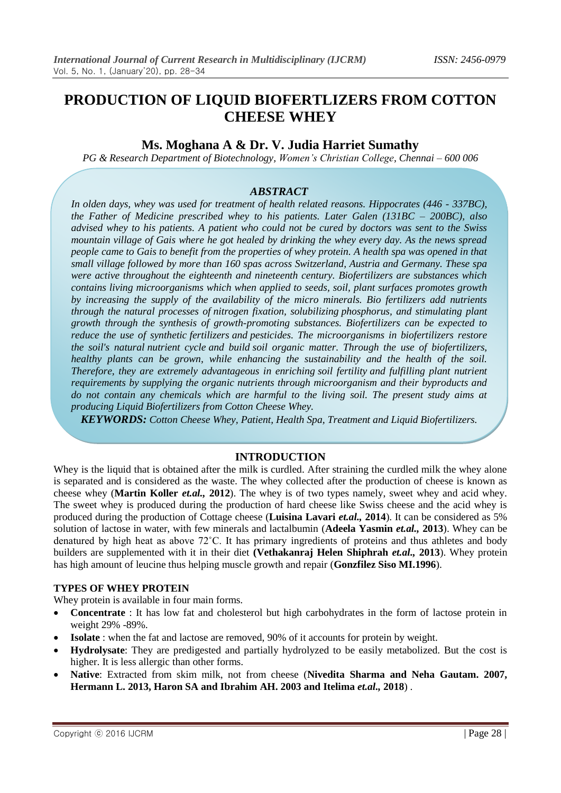# **Ms. Moghana A & Dr. V. Judia Harriet Sumathy**

*PG & Research Department of Biotechnology, Women's Christian College, Chennai – 600 006*

## *ABSTRACT*

*In olden days, whey was used for treatment of health related reasons. Hippocrates (446 - 337BC), the Father of Medicine prescribed whey to his patients. Later Galen (131BC – 200BC), also advised whey to his patients. A patient who could not be cured by doctors was sent to the Swiss mountain village of Gais where he got healed by drinking the whey every day. As the news spread people came to Gais to benefit from the properties of whey protein. A health spa was opened in that small village followed by more than 160 spas across Switzerland, Austria and Germany. These spa were active throughout the eighteenth and nineteenth century. Biofertilizers are substances which contains living microorganisms which when applied to seeds, soil, plant surfaces promotes growth by increasing the supply of the availability of the micro minerals. Bio fertilizers add nutrients through the natural processes of [nitrogen](https://en.m.wikipedia.org/wiki/Nitrogen_fixation) fixation, solubilizing [phosphorus,](https://en.m.wikipedia.org/wiki/Phosphorus) and stimulating plant growth through the synthesis of growth-promoting substances. Biofertilizers can be expected to reduce the use of synthetic [fertilizers](https://en.m.wikipedia.org/wiki/Fertilizer) and [pesticides.](https://en.m.wikipedia.org/wiki/Pesticide) The microorganisms in biofertilizers restore the soil's natural [nutrient](https://en.m.wikipedia.org/wiki/Nutrient_cycle) cycle and build soil [organic](https://en.m.wikipedia.org/wiki/Soil_organic_matter) matter. Through the use of biofertilizers, healthy plants can be grown, while enhancing the sustainability and the health of the soil. Therefore, they are extremely advantageous in enriching soil [fertility](https://en.m.wikipedia.org/wiki/Soil_fertility) and fulfilling plant nutrient requirements by supplying the organic nutrients through microorganism and their byproducts and do not contain any chemicals which are harmful to the living soil. The present study aims at producing Liquid Biofertilizers from Cotton Cheese Whey.*

*KEYWORDS: Cotton Cheese Whey, Patient, Health Spa, Treatment and Liquid Biofertilizers.*

## **INTRODUCTION**

Whey is the liquid that is obtained after the milk is curdled. After straining the curdled milk the whey alone is separated and is considered as the waste. The whey collected after the production of cheese is known as cheese whey (**Martin Koller** *et.al.,* **2012**). The whey is of two types namely, sweet whey and acid whey. The sweet whey is produced during the production of hard cheese like Swiss cheese and the acid whey is produced during the production of Cottage cheese (**Luisina Lavari** *et.al.,* **2014**). It can be considered as 5% solution of lactose in water, with few minerals and lactalbumin (**Adeela Yasmin** *et.al.,* **2013**). Whey can be denatured by high heat as above 72˚C. It has primary ingredients of proteins and thus athletes and body builders are supplemented with it in their diet **(Vethakanraj Helen Shiphrah** *et.al.,* **2013**). Whey protein has high amount of leucine thus helping muscle growth and repair (**Gonzfilez Siso MI.1996**).

#### **TYPES OF WHEY PROTEIN**

Whey protein is available in four main forms.

- **Concentrate** : It has low fat and cholesterol but high carbohydrates in the form of lactose protein in weight 29% -89%.
- **Isolate** : when the fat and lactose are removed, 90% of it accounts for protein by weight.
- **Hydrolysate**: They are predigested and partially hydrolyzed to be easily metabolized. But the cost is higher. It is less allergic than other forms.
- **Native**: Extracted from skim milk, not from cheese (**Nivedita Sharma and Neha Gautam. 2007, Hermann L. 2013, Haron SA and Ibrahim AH. 2003 and Itelima** *et.al.,* **2018**) .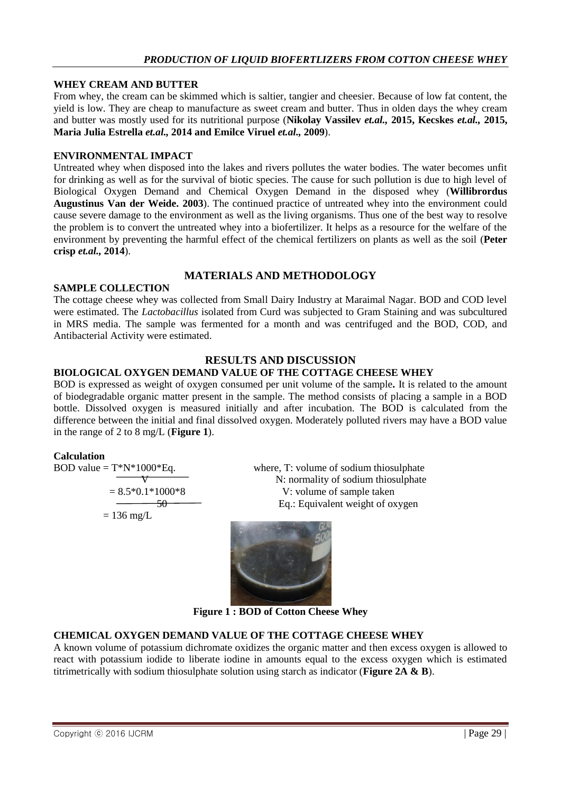#### **WHEY CREAM AND BUTTER**

From whey, the cream can be skimmed which is saltier, tangier and cheesier. Because of low fat content, the yield is low. They are cheap to manufacture as sweet cream and butter. Thus in olden days the whey cream and butter was mostly used for its nutritional purpose (**Nikolay Vassilev** *et.al.,* **2015, Kecskes** *et.al.,* **2015, Maria Julia Estrella** *et.al.,* **2014 and Emilce Viruel** *et.al.,* **2009**).

#### **ENVIRONMENTAL IMPACT**

Untreated whey when disposed into the lakes and rivers pollutes the water bodies. The water becomes unfit for drinking as well as for the survival of biotic species. The cause for such pollution is due to high level of Biological Oxygen Demand and Chemical Oxygen Demand in the disposed whey (**Willibrordus Augustinus Van der Weide. 2003**). The continued practice of untreated whey into the environment could cause severe damage to the environment as well as the living organisms. Thus one of the best way to resolve the problem is to convert the untreated whey into a biofertilizer. It helps as a resource for the welfare of the environment by preventing the harmful effect of the chemical fertilizers on plants as well as the soil (**Peter crisp** *et.al.,* **2014**).

# **MATERIALS AND METHODOLOGY**

#### **SAMPLE COLLECTION**

The cottage cheese whey was collected from Small Dairy Industry at Maraimal Nagar. BOD and COD level were estimated. The *Lactobacillus* isolated from Curd was subjected to Gram Staining and was subcultured in MRS media. The sample was fermented for a month and was centrifuged and the BOD, COD, and Antibacterial Activity were estimated.

## **RESULTS AND DISCUSSION**

## **BIOLOGICAL OXYGEN DEMAND VALUE OF THE COTTAGE CHEESE WHEY**

BOD is expressed as weight of oxygen consumed per unit volume of the sample**.** It is related to the amount of biodegradable organic matter present in the sample. The method consists of placing a sample in a BOD bottle. Dissolved oxygen is measured initially and after incubation. The BOD is calculated from the difference between the initial and final dissolved oxygen. Moderately polluted rivers may have a BOD value in the range of 2 to 8 mg/L (**Figure 1**).

#### **Calculation**

$$
BOD value = T*N*1000*Eq.
$$

 $= 136$  mg/L

where, T: volume of sodium thiosulphate  $V = 8.5*0.1*1000*8$  N: normality of sodium thiosulphate<br>  $V$ : volume of sample taken V: volume of sample taken 50 Eq.: Equivalent weight of oxygen



**Figure 1 : BOD of Cotton Cheese Whey**

## **CHEMICAL OXYGEN DEMAND VALUE OF THE COTTAGE CHEESE WHEY**

A known volume of potassium dichromate oxidizes the organic matter and then excess oxygen is allowed to react with potassium iodide to liberate iodine in amounts equal to the excess oxygen which is estimated titrimetrically with sodium thiosulphate solution using starch as indicator (**Figure 2A & B**).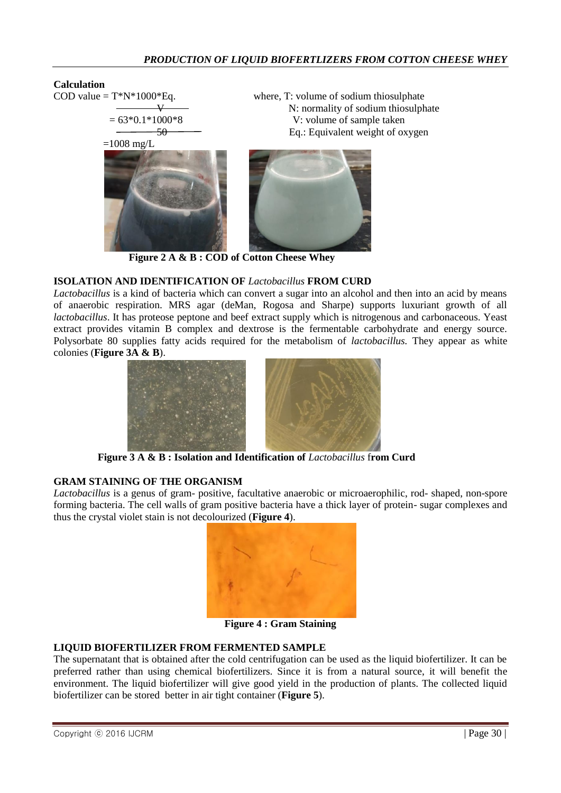#### **Calculation**

COD value  $= T^*N^*1000^*Eq.$  where, T: volume of sodium thiosulphate  $V = 63*0.1*1000*8$ <br>N: normality of sodium thiosulphate<br>V: volume of sample taken V: volume of sample taken 50 Eq.: Equivalent weight of oxygen  $=1008$  mg/L

 **Figure 2 A & B : COD of Cotton Cheese Whey**

## **ISOLATION AND IDENTIFICATION OF** *Lactobacillus* **FROM CURD**

*Lactobacillus* is a kind of bacteria which can convert a sugar into an alcohol and then into an acid by means of anaerobic respiration. MRS agar (deMan, Rogosa and Sharpe) supports luxuriant growth of all *lactobacillus*. It has proteose peptone and beef extract supply which is nitrogenous and carbonaceous. Yeast extract provides vitamin B complex and dextrose is the fermentable carbohydrate and energy source. Polysorbate 80 supplies fatty acids required for the metabolism of *lactobacillus.* They appear as white colonies (**Figure 3A & B**).



 **Figure 3 A & B : Isolation and Identification of** *Lactobacillus* f**rom Curd**

## **GRAM STAINING OF THE ORGANISM**

*Lactobacillus* is a genus of gram- positive, facultative anaerobic or microaerophilic, rod- shaped, non-spore forming bacteria. The cell walls of gram positive bacteria have a thick layer of protein- sugar complexes and thus the crystal violet stain is not decolourized (**Figure 4**).



**Figure 4 : Gram Staining**

#### **LIQUID BIOFERTILIZER FROM FERMENTED SAMPLE**

The supernatant that is obtained after the cold centrifugation can be used as the liquid biofertilizer. It can be preferred rather than using chemical biofertilizers. Since it is from a natural source, it will benefit the environment. The liquid biofertilizer will give good yield in the production of plants. The collected liquid biofertilizer can be stored better in air tight container (**Figure 5**).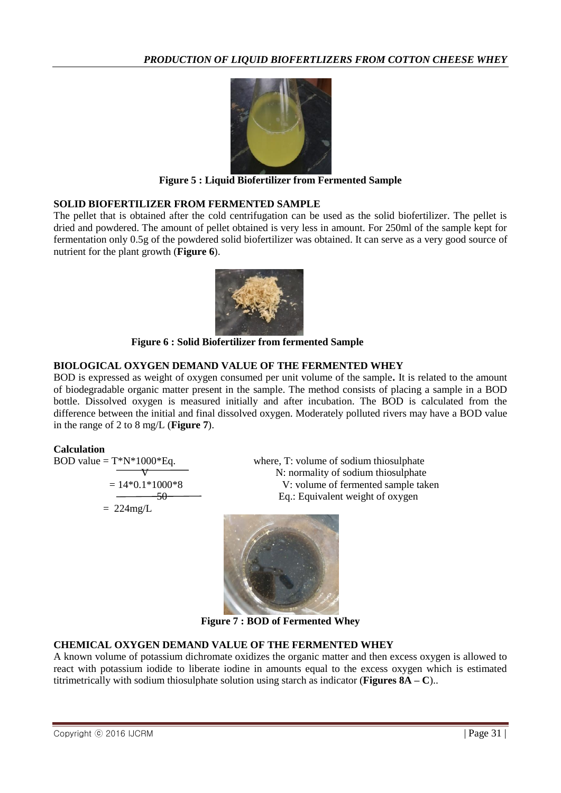

**Figure 5 : Liquid Biofertilizer from Fermented Sample**

## **SOLID BIOFERTILIZER FROM FERMENTED SAMPLE**

The pellet that is obtained after the cold centrifugation can be used as the solid biofertilizer. The pellet is dried and powdered. The amount of pellet obtained is very less in amount. For 250ml of the sample kept for fermentation only 0.5g of the powdered solid biofertilizer was obtained. It can serve as a very good source of nutrient for the plant growth (**Figure 6**).



 **Figure 6 : Solid Biofertilizer from fermented Sample**

# **BIOLOGICAL OXYGEN DEMAND VALUE OF THE FERMENTED WHEY**

BOD is expressed as weight of oxygen consumed per unit volume of the sample**.** It is related to the amount of biodegradable organic matter present in the sample. The method consists of placing a sample in a BOD bottle. Dissolved oxygen is measured initially and after incubation. The BOD is calculated from the difference between the initial and final dissolved oxygen. Moderately polluted rivers may have a BOD value in the range of 2 to 8 mg/L (**Figure 7**).

## **Calculation**

BOD value = 
$$
T^*N^*1000^*Eq.
$$

$$
= 14*0.1*1000*
$$
  
= 224mg/L

where, T: volume of sodium thiosulphate N: normality of sodium thiosulphate  $-$  14<sup>8</sup> V: volume of fermented sample taken Eq.: Equivalent weight of oxygen



**Figure 7 : BOD of Fermented Whey**

# **CHEMICAL OXYGEN DEMAND VALUE OF THE FERMENTED WHEY**

A known volume of potassium dichromate oxidizes the organic matter and then excess oxygen is allowed to react with potassium iodide to liberate iodine in amounts equal to the excess oxygen which is estimated titrimetrically with sodium thiosulphate solution using starch as indicator (**Figures 8A – C**)..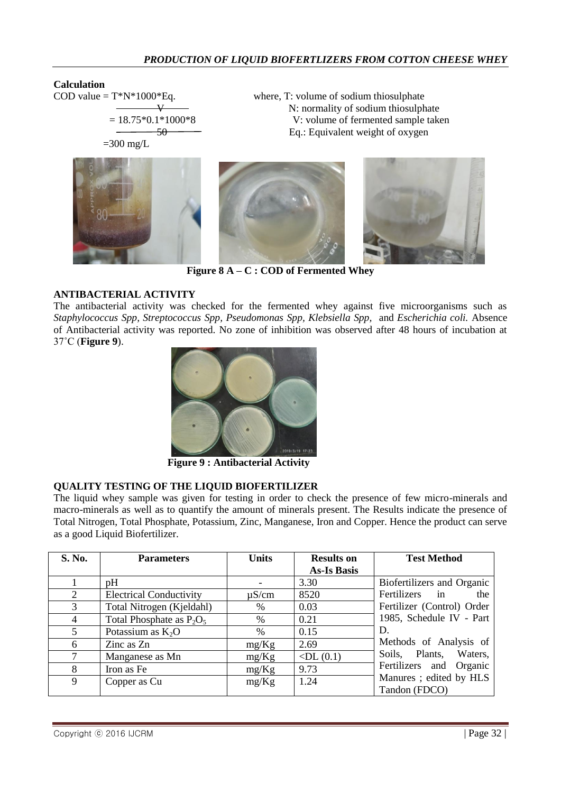N: normality of sodium thiosulphate

#### **Calculation**

COD value  $= T^*N^*1000^*Eq.$  where, T: volume of sodium thiosulphate

 $= 18.75*0.1*1000*8$  V: volume of fermented sample taken 50 Eq.: Equivalent weight of oxygen

 $=300$  mg/L



**Figure 8 A – C : COD of Fermented Whey**

### **ANTIBACTERIAL ACTIVITY**

The antibacterial activity was checked for the fermented whey against five microorganisms such as *Staphylococcus Spp, Streptococcus Spp, Pseudomonas Spp, Klebsiella Spp,* and *Escherichia coli.* Absence of Antibacterial activity was reported. No zone of inhibition was observed after 48 hours of incubation at 37˚C (**Figure 9**).



 **Figure 9 : Antibacterial Activity**

#### **QUALITY TESTING OF THE LIQUID BIOFERTILIZER**

The liquid whey sample was given for testing in order to check the presence of few micro-minerals and macro-minerals as well as to quantify the amount of minerals present. The Results indicate the presence of Total Nitrogen, Total Phosphate, Potassium, Zinc, Manganese, Iron and Copper. Hence the product can serve as a good Liquid Biofertilizer.

| S. No. | <b>Parameters</b>              | <b>Units</b> | <b>Results on</b>  | <b>Test Method</b>                      |
|--------|--------------------------------|--------------|--------------------|-----------------------------------------|
|        |                                |              | <b>As-Is Basis</b> |                                         |
|        | pH                             |              | 3.30               | Biofertilizers and Organic              |
| 2      | <b>Electrical Conductivity</b> | $\mu$ S/cm   | 8520               | Fertilizers<br>$\mathbf{in}$<br>the     |
| 3      | Total Nitrogen (Kjeldahl)      | $\%$         | 0.03               | Fertilizer (Control) Order              |
| 4      | Total Phosphate as $P_2O_5$    | $\%$         | 0.21               | 1985, Schedule IV - Part                |
| 5      | Potassium as $K_2O$            | %            | 0.15               | D.                                      |
| 6      | Zinc as Zn                     | mg/Kg        | 2.69               | Methods of Analysis of                  |
| 7      | Manganese as Mn                | mg/Kg        | $\n  $             | Waters,<br>Plants,<br>Soils,            |
| 8      | Iron as Fe                     | mg/Kg        | 9.73               | Fertilizers and<br>Organic              |
| 9      | Copper as Cu                   | mg/Kg        | 1.24               | Manures; edited by HLS<br>Tandon (FDCO) |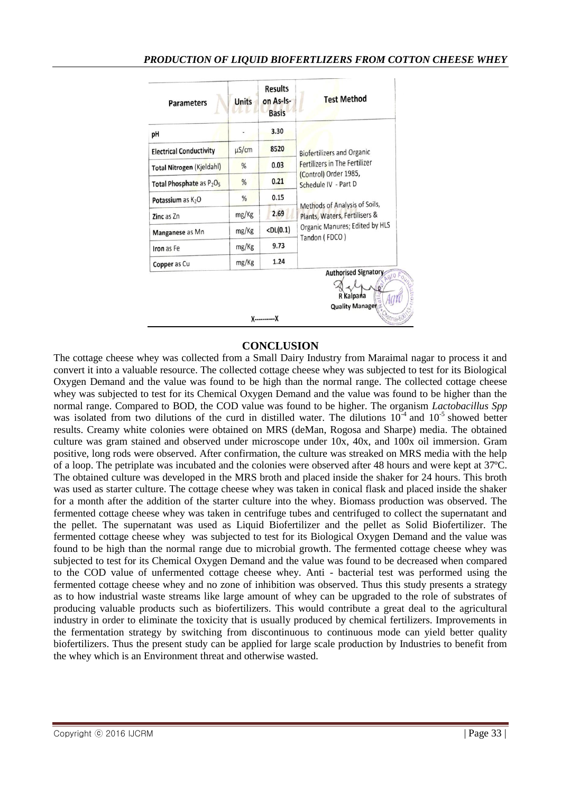| <b>Parameters</b>                                | <b>Units</b>                | <b>Results</b><br>on As-Is-<br><b>Basis</b> | <b>Test Method</b>                                                                                                                                                                                                      |  |
|--------------------------------------------------|-----------------------------|---------------------------------------------|-------------------------------------------------------------------------------------------------------------------------------------------------------------------------------------------------------------------------|--|
| рH                                               |                             | 3.30                                        | <b>Biofertilizers and Organic</b><br>Fertilizers in The Fertilizer<br>(Control) Order 1985,<br>Schedule IV - Part D<br>Methods of Analysis of Soils,<br>Plants, Waters, Fertilisers &<br>Organic Manures; Edited by HLS |  |
| <b>Electrical Conductivity</b>                   | $\mu$ S/cm                  | 8520                                        |                                                                                                                                                                                                                         |  |
| <b>Total Nitrogen (Kjeldahl)</b>                 | $\frac{0}{2}$               | 0.03                                        |                                                                                                                                                                                                                         |  |
| Total Phosphate as P <sub>2</sub> O <sub>5</sub> | %                           | 0.21                                        |                                                                                                                                                                                                                         |  |
| Potassium as $K_2O$                              | %                           | 0.15                                        |                                                                                                                                                                                                                         |  |
| Zinc as Zn                                       | mg/Kg                       | 2.69                                        |                                                                                                                                                                                                                         |  |
| Manganese as Mn                                  | mg/Kg                       | $\n  $                                      |                                                                                                                                                                                                                         |  |
| Iron as Fe                                       | mg/Kg                       | 9.73                                        | Tandon (FDCO)                                                                                                                                                                                                           |  |
| Copper as Cu                                     | mg/Kg                       | 1.24                                        |                                                                                                                                                                                                                         |  |
|                                                  |                             |                                             | <b>Authorised Signatory</b><br>Laro A<br>R Kalpana<br><b>Quality Manager</b>                                                                                                                                            |  |
|                                                  | <b><i><u>ennair</u></i></b> |                                             |                                                                                                                                                                                                                         |  |

## **CONCLUSION**

The cottage cheese whey was collected from a Small Dairy Industry from Maraimal nagar to process it and convert it into a valuable resource. The collected cottage cheese whey was subjected to test for its Biological Oxygen Demand and the value was found to be high than the normal range. The collected cottage cheese whey was subjected to test for its Chemical Oxygen Demand and the value was found to be higher than the normal range. Compared to BOD, the COD value was found to be higher. The organism *Lactobacillus Spp*  was isolated from two dilutions of the curd in distilled water. The dilutions  $10^{-4}$  and  $10^{-5}$  showed better results. Creamy white colonies were obtained on MRS (deMan, Rogosa and Sharpe) media. The obtained culture was gram stained and observed under microscope under 10x, 40x, and 100x oil immersion. Gram positive, long rods were observed. After confirmation, the culture was streaked on MRS media with the help of a loop. The petriplate was incubated and the colonies were observed after 48 hours and were kept at 37ºC. The obtained culture was developed in the MRS broth and placed inside the shaker for 24 hours. This broth was used as starter culture. The cottage cheese whey was taken in conical flask and placed inside the shaker for a month after the addition of the starter culture into the whey. Biomass production was observed. The fermented cottage cheese whey was taken in centrifuge tubes and centrifuged to collect the supernatant and the pellet. The supernatant was used as Liquid Biofertilizer and the pellet as Solid Biofertilizer. The fermented cottage cheese whey was subjected to test for its Biological Oxygen Demand and the value was found to be high than the normal range due to microbial growth. The fermented cottage cheese whey was subjected to test for its Chemical Oxygen Demand and the value was found to be decreased when compared to the COD value of unfermented cottage cheese whey. Anti - bacterial test was performed using the fermented cottage cheese whey and no zone of inhibition was observed. Thus this study presents a strategy as to how industrial waste streams like large amount of whey can be upgraded to the role of substrates of producing valuable products such as biofertilizers. This would contribute a great deal to the agricultural industry in order to eliminate the toxicity that is usually produced by chemical fertilizers. Improvements in the fermentation strategy by switching from discontinuous to continuous mode can yield better quality biofertilizers. Thus the present study can be applied for large scale production by Industries to benefit from the whey which is an Environment threat and otherwise wasted.